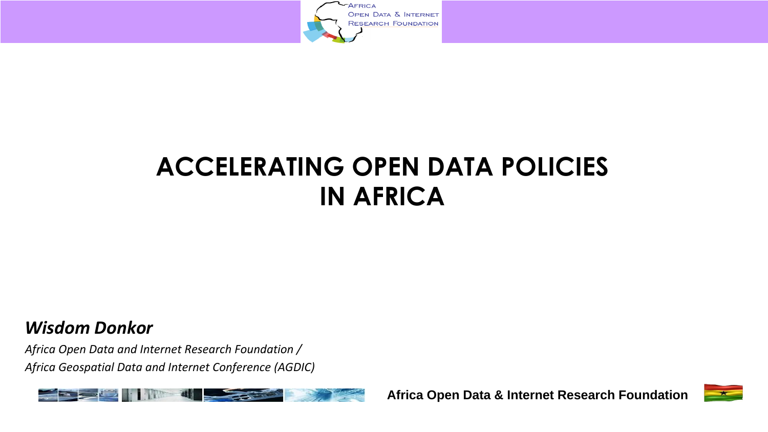**Africa Open Data & Internet Research Foundation**







# **ACCELERATING OPEN DATA POLICIES IN AFRICA**

#### *Wisdom Donkor*

*Africa Open Data and Internet Research Foundation / Africa Geospatial Data and Internet Conference (AGDIC)*



**AFRICA OPEN DATA & INTERNET RESEARCH FOUNDATION**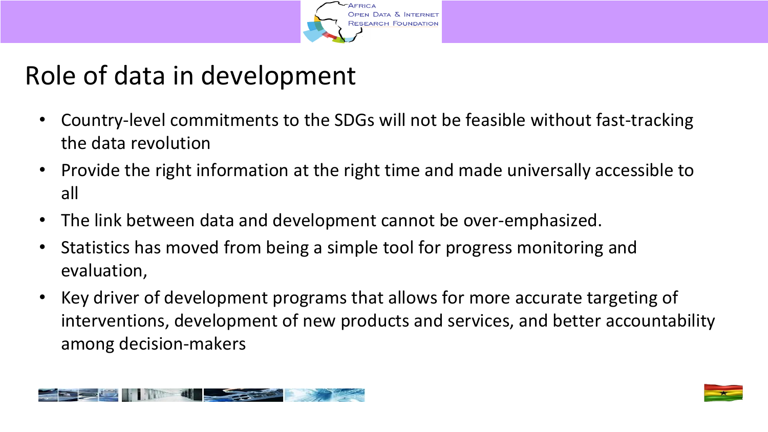

# Role of data in development

- Country-level commitments to the SDGs will not be feasible without fast-tracking the data revolution
- Provide the right information at the right time and made universally accessible to all
- The link between data and development cannot be over-emphasized.
- Statistics has moved from being a simple tool for progress monitoring and evaluation,
- Key driver of development programs that allows for more accurate targeting of interventions, development of new products and services, and better accountability among decision-makers





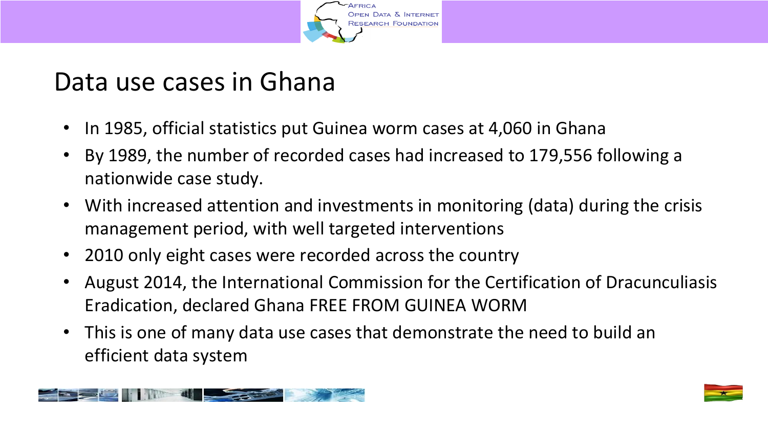

## Data use cases in Ghana

- In 1985, official statistics put Guinea worm cases at 4,060 in Ghana
- By 1989, the number of recorded cases had increased to 179,556 following a nationwide case study.
- With increased attention and investments in monitoring (data) during the crisis management period, with well targeted interventions
- 2010 only eight cases were recorded across the country
- August 2014, the International Commission for the Certification of Dracunculiasis Eradication, declared Ghana FREE FROM GUINEA WORM
- This is one of many data use cases that demonstrate the need to build an efficient data system





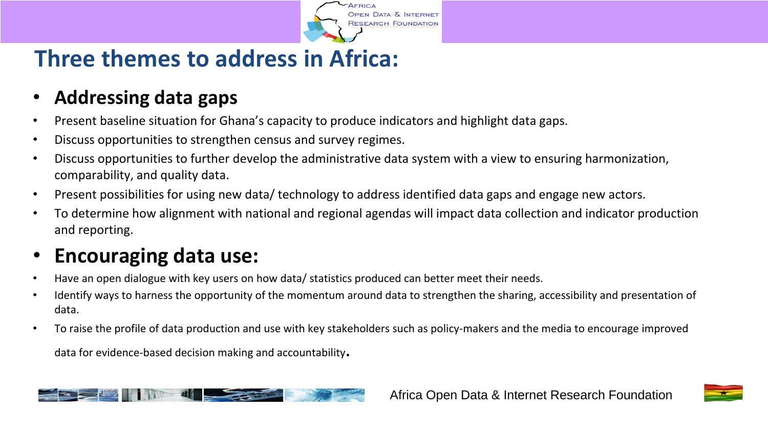

### **Three themes to address in Africa:**

- **Addressing data gaps**
- Present baseline situation for Ghana's capacity to produce indicators and highlight data gaps.
- Discuss opportunities to strengthen census and survey regimes.
- Discuss opportunities to further develop the administrative data system with a view to ensuring harmonization, comparability, and quality data.
- Present possibilities for using new data/ technology to address identified data gaps and engage new actors.
- To determine how alignment with national and regional agendas will impact data collection and indicator production and reporting.

- Have an open dialogue with key users on how data/ statistics produced can better meet their needs.
- Identify ways to harness the opportunity of the momentum around data to strengthen the sharing, accessibility and presentation of data.
- To raise the profile of data production and use with key stakeholders such as policy-makers and the media to encourage improved

#### • **Encouraging data use:**

data for evidence-based decision making and accountability.



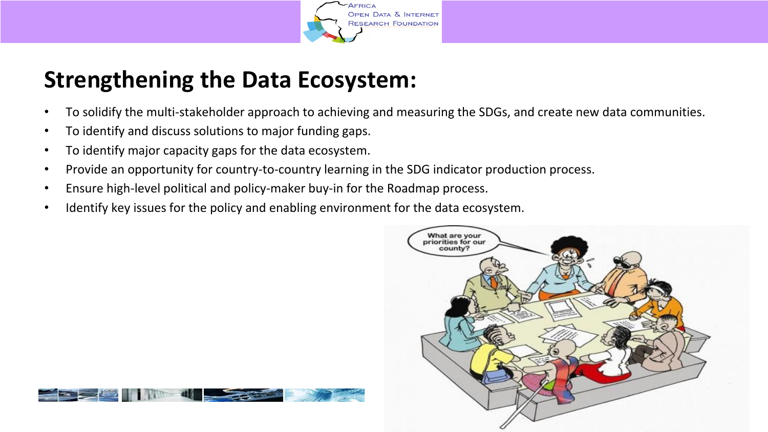

## **Strengthening the Data Ecosystem:**

• To solidify the multi-stakeholder approach to achieving and measuring the SDGs, and create new data communities.

- 
- To identify and discuss solutions to major funding gaps.
- To identify major capacity gaps for the data ecosystem.
- Provide an opportunity for country-to-country learning in the SDG indicator production process.
- Ensure high-level political and policy-maker buy-in for the Roadmap process.
- Identify key issues for the policy and enabling environment for the data ecosystem.





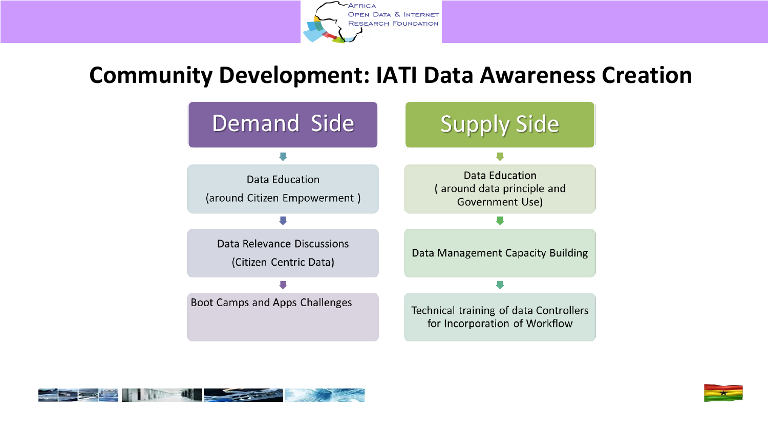

## **Community Development: IATI Data Awareness Creation**









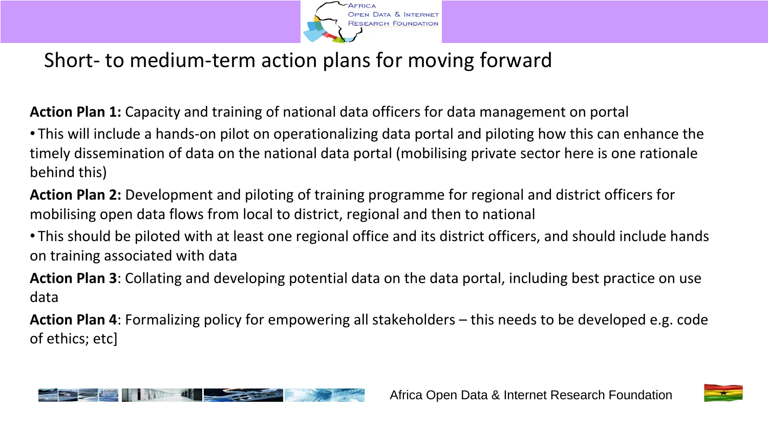

#### Short- to medium-term action plans for moving forward

**Action Plan 1:** Capacity and training of national data officers for data management on portal

- 
- This will include a hands-on pilot on operationalizing data portal and piloting how this can enhance the timely dissemination of data on the national data portal (mobilising private sector here is one rationale
	-

behind this)

**Action Plan 2:** Development and piloting of training programme for regional and district officers for mobilising open data flows from local to district, regional and then to national

• This should be piloted with at least one regional office and its district officers, and should include hands on training associated with data

- **Action Plan 3**: Collating and developing potential data on the data portal, including best practice on use
- **Action Plan 4**: Formalizing policy for empowering all stakeholders this needs to be developed e.g. code

data



of ethics; etc]





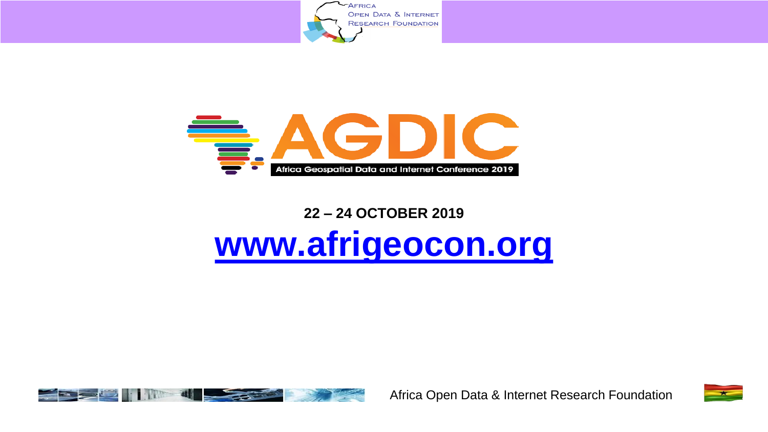Africa Open Data & Internet Research Foundation









# **22 – 24 OCTOBER 2019 [www.afrigeocon.org](http://www.afrigeocon.org/)**